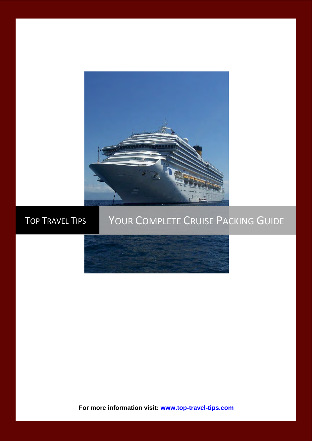

# TOP TRAVEL TIPS YOUR COMPLETE CRUISE PACKING GUIDE



**For more information visit: [www.top-travel-tips.com](http://www.top-travel-tips.com/index.html)**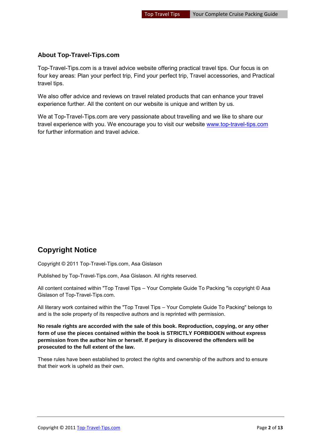#### **About Top-Travel-Tips.com**

Top-Travel-Tips.com is a travel advice website offering practical travel tips. Our focus is on four key areas: Plan your perfect trip, Find your perfect trip, Travel accessories, and Practical travel tips.

We also offer advice and reviews on travel related products that can enhance your travel experience further. All the content on our website is unique and written by us.

We at Top-Travel-Tips.com are very passionate about travelling and we like to share our travel experience with you. We encourage you to visit our website [www.top-travel-tips.com](http://www.top-travel-tips.com/index.html) for further information and travel advice.

# **Copyright Notice**

Copyright © 2011 Top-Travel-Tips.com, Asa Gislason

Published by Top-Travel-Tips.com, Asa Gislason. All rights reserved.

All content contained within "Top Travel Tips – Your Complete Guide To Packing "is copyright © Asa Gislason of Top-Travel-Tips.com.

All literary work contained within the "Top Travel Tips – Your Complete Guide To Packing" belongs to and is the sole property of its respective authors and is reprinted with permission.

**No resale rights are accorded with the sale of this book. Reproduction, copying, or any other form of use the pieces contained within the book is STRICTLY FORBIDDEN without express permission from the author him or herself. If perjury is discovered the offenders will be prosecuted to the full extent of the law.** 

These rules have been established to protect the rights and ownership of the authors and to ensure that their work is upheld as their own.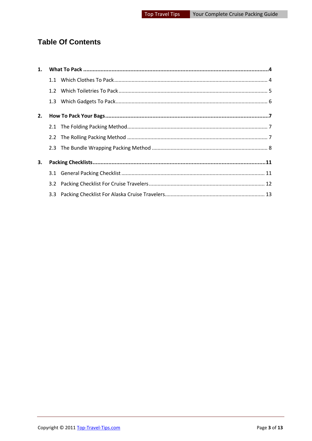# **Table Of Contents**

| 1. |     |  |  |  |
|----|-----|--|--|--|
|    |     |  |  |  |
|    |     |  |  |  |
|    |     |  |  |  |
| 2. |     |  |  |  |
|    |     |  |  |  |
|    |     |  |  |  |
|    |     |  |  |  |
| 3. |     |  |  |  |
|    |     |  |  |  |
|    | 3.2 |  |  |  |
|    |     |  |  |  |
|    |     |  |  |  |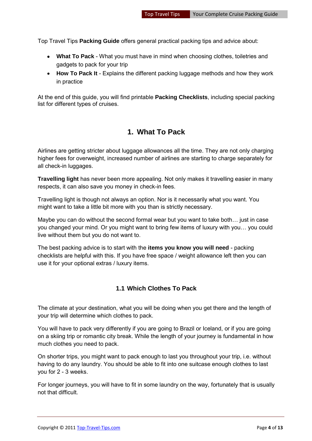Top Travel Tips **Packing Guide** offers general practical packing tips and advice about:

- **What To Pack** What you must have in mind when choosing clothes, toiletries and gadgets to pack for your trip
- **How To Pack It** Explains the different packing luggage methods and how they work in practice

At the end of this guide, you will find printable **Packing Checklists**, including special packing list for different types of cruises.

### **1. What To Pack**

<span id="page-3-0"></span>Airlines are getting stricter about luggage allowances all the time. They are not only charging higher fees for overweight, increased number of airlines are starting to charge separately for all check-in luggages.

**Travelling light** has never been more appealing. Not only makes it travelling easier in many respects, it can also save you money in check-in fees.

Travelling light is though not always an option. Nor is it necessarily what you want. You might want to take a little bit more with you than is strictly necessary.

Maybe you can do without the second formal wear but you want to take both… just in case you changed your mind. Or you might want to bring few items of luxury with you… you could live without them but you do not want to.

The best packing advice is to start with the **items you know you will need** - packing checklists are helpful with this. If you have free space / weight allowance left then you can use it for your optional extras / luxury items.

#### <span id="page-3-1"></span>**1.1 Which Clothes To Pack**

The climate at your destination, what you will be doing when you get there and the length of your trip will determine which clothes to pack.

You will have to pack very differently if you are going to Brazil or Iceland, or if you are going on a skiing trip or romantic city break. While the length of your journey is fundamental in how much clothes you need to pack.

On shorter trips, you might want to pack enough to last you throughout your trip, i.e. without having to do any laundry. You should be able to fit into one suitcase enough clothes to last you for 2 - 3 weeks.

For longer journeys, you will have to fit in some laundry on the way, fortunately that is usually not that difficult.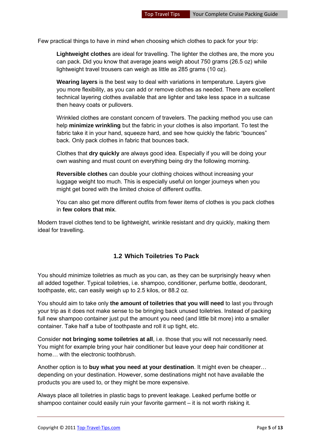Few practical things to have in mind when choosing which clothes to pack for your trip:

**Lightweight clothes** are ideal for travelling. The lighter the clothes are, the more you can pack. Did you know that average jeans weigh about 750 grams (26.5 oz) while lightweight travel trousers can weigh as little as 285 grams (10 oz).

**Wearing layers** is the best way to deal with variations in temperature. Layers give you more flexibility, as you can add or remove clothes as needed. There are excellent technical layering clothes available that are lighter and take less space in a suitcase then heavy coats or pullovers.

Wrinkled clothes are constant concern of travelers. The packing method you use can help **minimize wrinkling** but the fabric in your clothes is also important. To test the fabric take it in your hand, squeeze hard, and see how quickly the fabric "bounces" back. Only pack clothes in fabric that bounces back.

Clothes that **dry quickly** are always good idea. Especially if you will be doing your own washing and must count on everything being dry the following morning.

**Reversible clothes** can double your clothing choices without increasing your luggage weight too much. This is especially useful on longer journeys when you might get bored with the limited choice of different outfits.

You can also get more different outfits from fewer items of clothes is you pack clothes in **few colors that mix**.

Modern travel clothes tend to be lightweight, wrinkle resistant and dry quickly, making them ideal for travelling.

#### <span id="page-4-0"></span>**1.2 Which Toiletries To Pack**

You should minimize toiletries as much as you can, as they can be surprisingly heavy when all added together. Typical toiletries, i.e. shampoo, conditioner, perfume bottle, deodorant, toothpaste, etc, can easily weigh up to 2.5 kilos, or 88.2 oz.

You should aim to take only **the amount of toiletries that you will need** to last you through your trip as it does not make sense to be bringing back unused toiletries. Instead of packing full new shampoo container just put the amount you need (and little bit more) into a smaller container. Take half a tube of toothpaste and roll it up tight, etc.

Consider **not bringing some toiletries at all**, i.e. those that you will not necessarily need. You might for example bring your hair conditioner but leave your deep hair conditioner at home… with the electronic toothbrush.

Another option is to **buy what you need at your destination**. It might even be cheaper… depending on your destination. However, some destinations might not have available the products you are used to, or they might be more expensive.

Always place all toiletries in plastic bags to prevent leakage. Leaked perfume bottle or shampoo container could easily ruin your favorite garment – it is not worth risking it.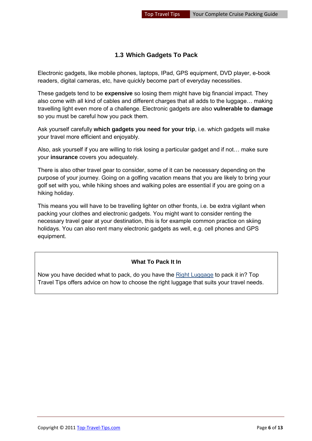#### <span id="page-5-0"></span>**1.3 Which Gadgets To Pack**

Electronic gadgets, like mobile phones, laptops, IPad, GPS equipment, DVD player, e-book readers, digital cameras, etc, have quickly become part of everyday necessities.

These gadgets tend to be **expensive** so losing them might have big financial impact. They also come with all kind of cables and different charges that all adds to the luggage… making travelling light even more of a challenge. Electronic gadgets are also **vulnerable to damage** so you must be careful how you pack them.

Ask yourself carefully **which gadgets you need for your trip**, i.e. which gadgets will make your travel more efficient and enjoyably.

Also, ask yourself if you are willing to risk losing a particular gadget and if not… make sure your **insurance** covers you adequately.

There is also other travel gear to consider, some of it can be necessary depending on the purpose of your journey. Going on a golfing vacation means that you are likely to bring your golf set with you, while hiking shoes and walking poles are essential if you are going on a hiking holiday.

This means you will have to be travelling lighter on other fronts, i.e. be extra vigilant when packing your clothes and electronic gadgets. You might want to consider renting the necessary travel gear at your destination, this is for example common practice on skiing holidays. You can also rent many electronic gadgets as well, e.g. cell phones and GPS equipment.

#### **What To Pack It In**

Now you have decided what to pack, do you have the [Right Luggage](http://www.top-travel-tips.com/international-traveler-luggage.html) to pack it in? Top Travel Tips offers advice on how to choose the right luggage that suits your travel needs.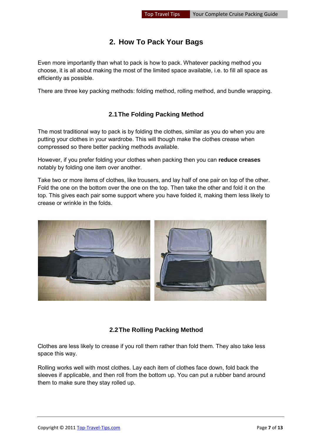# **2. How To Pack Your Bags**

<span id="page-6-0"></span>Even more importantly than what to pack is how to pack. Whatever packing method you choose, it is all about making the most of the limited space available, i.e. to fill all space as efficiently as possible.

There are three key packing methods: folding method, rolling method, and bundle wrapping.

#### **2.1 The Folding Packing Method**

<span id="page-6-1"></span>The most traditional way to pack is by folding the clothes, similar as you do when you are putting your clothes in your wardrobe. This will though make the clothes crease when compressed so there better packing methods available.

However, if you prefer folding your clothes when packing then you can **reduce creases** notably by folding one item over another.

Take two or more items of clothes, like trousers, and lay half of one pair on top of the other. Fold the one on the bottom over the one on the top. Then take the other and fold it on the top. This gives each pair some support where you have folded it, making them less likely to crease or wrinkle in the folds.



#### **2.2 The Rolling Packing Method**

<span id="page-6-2"></span>Clothes are less likely to crease if you roll them rather than fold them. They also take less space this way.

Rolling works well with most clothes. Lay each item of clothes face down, fold back the sleeves if applicable, and then roll from the bottom up. You can put a rubber band around them to make sure they stay rolled up.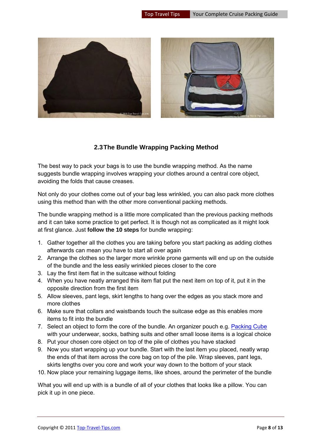

#### **2.3 The Bundle Wrapping Packing Method**

<span id="page-7-0"></span>The best way to pack your bags is to use the bundle wrapping method. As the name suggests bundle wrapping involves wrapping your clothes around a central core object, avoiding the folds that cause creases.

Not only do your clothes come out of your bag less wrinkled, you can also pack more clothes using this method than with the other more conventional packing methods.

The bundle wrapping method is a little more complicated than the previous packing methods and it can take some practice to get perfect. It is though not as complicated as it might look at first glance. Just **follow the 10 steps** for bundle wrapping:

- 1. Gather together all the clothes you are taking before you start packing as adding clothes afterwards can mean you have to start all over again
- 2. Arrange the clothes so the larger more wrinkle prone garments will end up on the outside of the bundle and the less easily wrinkled pieces closer to the core
- 3. Lay the first item flat in the suitcase without folding
- 4. When you have neatly arranged this item flat put the next item on top of it, put it in the opposite direction from the first item
- 5. Allow sleeves, pant legs, skirt lengths to hang over the edges as you stack more and more clothes
- 6. Make sure that collars and waistbands touch the suitcase edge as this enables more items to fit into the bundle
- 7. Select an object to form the core of the bundle. An organizer pouch e.g. [Packing Cube](http://www.top-travel-tips.com/packing-cubes.html) with your underwear, socks, bathing suits and other small loose items is a logical choice
- 8. Put your chosen core object on top of the pile of clothes you have stacked
- 9. Now you start wrapping up your bundle. Start with the last item you placed, neatly wrap the ends of that item across the core bag on top of the pile. Wrap sleeves, pant legs, skirts lengths over you core and work your way down to the bottom of your stack
- 10. Now place your remaining luggage items, like shoes, around the perimeter of the bundle

What you will end up with is a bundle of all of your clothes that looks like a pillow. You can pick it up in one piece.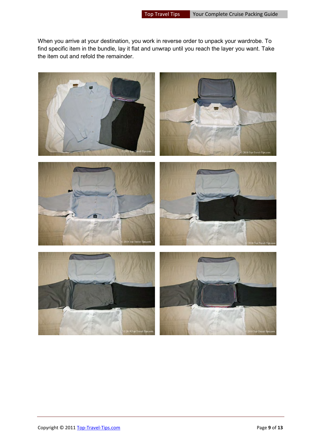When you arrive at your destination, you work in reverse order to unpack your wardrobe. To find specific item in the bundle, lay it flat and unwrap until you reach the layer you want. Take the item out and refold the remainder.

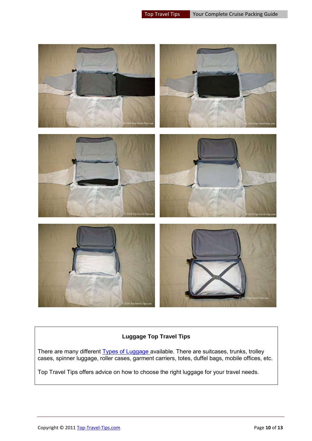

#### **Luggage Top Travel Tips**

There are many different [Types of Luggage](http://www.top-travel-tips.com/cabin-luggage.html) available. There are suitcases, trunks, trolley cases, spinner luggage, roller cases, garment carriers, totes, duffel bags, mobile offices, etc.

Top Travel Tips offers advice on how to choose the right luggage for your travel needs.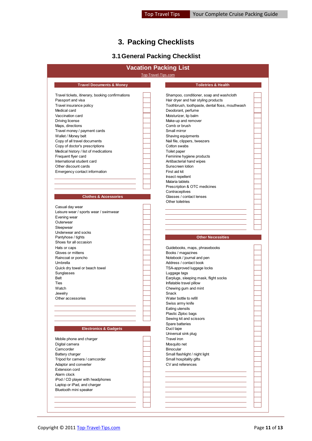# **3. Packing Checklists**

# **3.1 General Packing Checklist**

<span id="page-10-1"></span><span id="page-10-0"></span>

| Top-Travel-Tips.com<br><b>Travel Documents &amp; Money</b><br><b>Toiletries &amp; Health</b><br>Shampoo, conditioner, soap and washcloth<br>Hair dryer and hair styling products<br>Toothbrush, toothpaste, dental floss, mouthwash<br>Deodorant, perfume<br>Vaccination card<br>Moisturizer, lip balm<br>Driving license<br>Make-up and remover<br>Maps, directions<br>Comb or brush<br>Travel money / payment cards<br>Small mirror<br>Wallet / Money belt<br>Shaving equipments<br>Copy of all travel documents<br>Nail file, clippers, tweezers<br>Cotton swabs<br>Copy of doctor's prescriptions<br>Medical history / list of medications<br>Toilet paper<br>Frequent flyer card<br>Feminine hygiene products<br>International student card<br>Antibacterial hand wipes<br>Other discount cards<br>Sunscreen lotion<br>Emergency contact information<br>First aid kit<br>Insect repellent<br>Malaria tablets<br>Prescription & OTC medicines<br>Contraceptives<br><b>Clothes &amp; Accessories</b><br>Glasses / contact lenses<br>Other toiletries<br>Casual day wear<br>Leisure wear / sports wear / swimwear<br>Evening wear<br>Outerwear<br>Sleepwear<br>Underwear and socks<br><b>Other Necessities</b><br>Pantyhose / tights<br>Shoes for all occasion<br>Hats or caps<br>Guidebooks, maps, phrasebooks<br>Gloves or mittens<br>Books / magazines<br>Notebook / journal and pen<br>Address / contact book<br>TSA-approved luggage locks<br>Luggage tags<br>Earplugs, sleeping mask, flight socks<br>Inflatable travel pillow<br>Watch<br>Chewing gum and mint<br>Snack<br>Jewelry<br>Water bottle to refill<br>Other accessories<br>Swiss army knife<br>Eating utensils<br>Plastic Ziploc bags<br>Sewing kit and scissors<br>Spare batteries<br><b>Electronics &amp; Gadgets</b><br>Duct tape<br>Universal sink plug<br>Travel iron<br>Mobile phone and charger<br>Digital camera<br>Mosquito net<br>Camcorder<br>Binocular<br>Small flashlight / night light<br><b>Battery charger</b><br>Small hospitality gifts<br>Tripod for camera / camcorder<br>Adaptor and converter<br>CV and references<br>Extension cord<br>Alarm clock<br>iPod / CD player with headphones | Travel tickets, itinerary, booking confirmations<br>Passport and visa<br>Travel insurance policy<br>Medical card |  |
|----------------------------------------------------------------------------------------------------------------------------------------------------------------------------------------------------------------------------------------------------------------------------------------------------------------------------------------------------------------------------------------------------------------------------------------------------------------------------------------------------------------------------------------------------------------------------------------------------------------------------------------------------------------------------------------------------------------------------------------------------------------------------------------------------------------------------------------------------------------------------------------------------------------------------------------------------------------------------------------------------------------------------------------------------------------------------------------------------------------------------------------------------------------------------------------------------------------------------------------------------------------------------------------------------------------------------------------------------------------------------------------------------------------------------------------------------------------------------------------------------------------------------------------------------------------------------------------------------------------------------------------------------------------------------------------------------------------------------------------------------------------------------------------------------------------------------------------------------------------------------------------------------------------------------------------------------------------------------------------------------------------------------------------------------------------------------------------------------------------------------------------------------------------------------------|------------------------------------------------------------------------------------------------------------------|--|
|                                                                                                                                                                                                                                                                                                                                                                                                                                                                                                                                                                                                                                                                                                                                                                                                                                                                                                                                                                                                                                                                                                                                                                                                                                                                                                                                                                                                                                                                                                                                                                                                                                                                                                                                                                                                                                                                                                                                                                                                                                                                                                                                                                                  |                                                                                                                  |  |
|                                                                                                                                                                                                                                                                                                                                                                                                                                                                                                                                                                                                                                                                                                                                                                                                                                                                                                                                                                                                                                                                                                                                                                                                                                                                                                                                                                                                                                                                                                                                                                                                                                                                                                                                                                                                                                                                                                                                                                                                                                                                                                                                                                                  |                                                                                                                  |  |
|                                                                                                                                                                                                                                                                                                                                                                                                                                                                                                                                                                                                                                                                                                                                                                                                                                                                                                                                                                                                                                                                                                                                                                                                                                                                                                                                                                                                                                                                                                                                                                                                                                                                                                                                                                                                                                                                                                                                                                                                                                                                                                                                                                                  |                                                                                                                  |  |
|                                                                                                                                                                                                                                                                                                                                                                                                                                                                                                                                                                                                                                                                                                                                                                                                                                                                                                                                                                                                                                                                                                                                                                                                                                                                                                                                                                                                                                                                                                                                                                                                                                                                                                                                                                                                                                                                                                                                                                                                                                                                                                                                                                                  |                                                                                                                  |  |
|                                                                                                                                                                                                                                                                                                                                                                                                                                                                                                                                                                                                                                                                                                                                                                                                                                                                                                                                                                                                                                                                                                                                                                                                                                                                                                                                                                                                                                                                                                                                                                                                                                                                                                                                                                                                                                                                                                                                                                                                                                                                                                                                                                                  |                                                                                                                  |  |
|                                                                                                                                                                                                                                                                                                                                                                                                                                                                                                                                                                                                                                                                                                                                                                                                                                                                                                                                                                                                                                                                                                                                                                                                                                                                                                                                                                                                                                                                                                                                                                                                                                                                                                                                                                                                                                                                                                                                                                                                                                                                                                                                                                                  |                                                                                                                  |  |
|                                                                                                                                                                                                                                                                                                                                                                                                                                                                                                                                                                                                                                                                                                                                                                                                                                                                                                                                                                                                                                                                                                                                                                                                                                                                                                                                                                                                                                                                                                                                                                                                                                                                                                                                                                                                                                                                                                                                                                                                                                                                                                                                                                                  |                                                                                                                  |  |
|                                                                                                                                                                                                                                                                                                                                                                                                                                                                                                                                                                                                                                                                                                                                                                                                                                                                                                                                                                                                                                                                                                                                                                                                                                                                                                                                                                                                                                                                                                                                                                                                                                                                                                                                                                                                                                                                                                                                                                                                                                                                                                                                                                                  |                                                                                                                  |  |
|                                                                                                                                                                                                                                                                                                                                                                                                                                                                                                                                                                                                                                                                                                                                                                                                                                                                                                                                                                                                                                                                                                                                                                                                                                                                                                                                                                                                                                                                                                                                                                                                                                                                                                                                                                                                                                                                                                                                                                                                                                                                                                                                                                                  |                                                                                                                  |  |
|                                                                                                                                                                                                                                                                                                                                                                                                                                                                                                                                                                                                                                                                                                                                                                                                                                                                                                                                                                                                                                                                                                                                                                                                                                                                                                                                                                                                                                                                                                                                                                                                                                                                                                                                                                                                                                                                                                                                                                                                                                                                                                                                                                                  |                                                                                                                  |  |
|                                                                                                                                                                                                                                                                                                                                                                                                                                                                                                                                                                                                                                                                                                                                                                                                                                                                                                                                                                                                                                                                                                                                                                                                                                                                                                                                                                                                                                                                                                                                                                                                                                                                                                                                                                                                                                                                                                                                                                                                                                                                                                                                                                                  |                                                                                                                  |  |
|                                                                                                                                                                                                                                                                                                                                                                                                                                                                                                                                                                                                                                                                                                                                                                                                                                                                                                                                                                                                                                                                                                                                                                                                                                                                                                                                                                                                                                                                                                                                                                                                                                                                                                                                                                                                                                                                                                                                                                                                                                                                                                                                                                                  |                                                                                                                  |  |
|                                                                                                                                                                                                                                                                                                                                                                                                                                                                                                                                                                                                                                                                                                                                                                                                                                                                                                                                                                                                                                                                                                                                                                                                                                                                                                                                                                                                                                                                                                                                                                                                                                                                                                                                                                                                                                                                                                                                                                                                                                                                                                                                                                                  |                                                                                                                  |  |
|                                                                                                                                                                                                                                                                                                                                                                                                                                                                                                                                                                                                                                                                                                                                                                                                                                                                                                                                                                                                                                                                                                                                                                                                                                                                                                                                                                                                                                                                                                                                                                                                                                                                                                                                                                                                                                                                                                                                                                                                                                                                                                                                                                                  |                                                                                                                  |  |
|                                                                                                                                                                                                                                                                                                                                                                                                                                                                                                                                                                                                                                                                                                                                                                                                                                                                                                                                                                                                                                                                                                                                                                                                                                                                                                                                                                                                                                                                                                                                                                                                                                                                                                                                                                                                                                                                                                                                                                                                                                                                                                                                                                                  |                                                                                                                  |  |
|                                                                                                                                                                                                                                                                                                                                                                                                                                                                                                                                                                                                                                                                                                                                                                                                                                                                                                                                                                                                                                                                                                                                                                                                                                                                                                                                                                                                                                                                                                                                                                                                                                                                                                                                                                                                                                                                                                                                                                                                                                                                                                                                                                                  |                                                                                                                  |  |
|                                                                                                                                                                                                                                                                                                                                                                                                                                                                                                                                                                                                                                                                                                                                                                                                                                                                                                                                                                                                                                                                                                                                                                                                                                                                                                                                                                                                                                                                                                                                                                                                                                                                                                                                                                                                                                                                                                                                                                                                                                                                                                                                                                                  |                                                                                                                  |  |
|                                                                                                                                                                                                                                                                                                                                                                                                                                                                                                                                                                                                                                                                                                                                                                                                                                                                                                                                                                                                                                                                                                                                                                                                                                                                                                                                                                                                                                                                                                                                                                                                                                                                                                                                                                                                                                                                                                                                                                                                                                                                                                                                                                                  |                                                                                                                  |  |
|                                                                                                                                                                                                                                                                                                                                                                                                                                                                                                                                                                                                                                                                                                                                                                                                                                                                                                                                                                                                                                                                                                                                                                                                                                                                                                                                                                                                                                                                                                                                                                                                                                                                                                                                                                                                                                                                                                                                                                                                                                                                                                                                                                                  |                                                                                                                  |  |
|                                                                                                                                                                                                                                                                                                                                                                                                                                                                                                                                                                                                                                                                                                                                                                                                                                                                                                                                                                                                                                                                                                                                                                                                                                                                                                                                                                                                                                                                                                                                                                                                                                                                                                                                                                                                                                                                                                                                                                                                                                                                                                                                                                                  |                                                                                                                  |  |
|                                                                                                                                                                                                                                                                                                                                                                                                                                                                                                                                                                                                                                                                                                                                                                                                                                                                                                                                                                                                                                                                                                                                                                                                                                                                                                                                                                                                                                                                                                                                                                                                                                                                                                                                                                                                                                                                                                                                                                                                                                                                                                                                                                                  |                                                                                                                  |  |
|                                                                                                                                                                                                                                                                                                                                                                                                                                                                                                                                                                                                                                                                                                                                                                                                                                                                                                                                                                                                                                                                                                                                                                                                                                                                                                                                                                                                                                                                                                                                                                                                                                                                                                                                                                                                                                                                                                                                                                                                                                                                                                                                                                                  |                                                                                                                  |  |
|                                                                                                                                                                                                                                                                                                                                                                                                                                                                                                                                                                                                                                                                                                                                                                                                                                                                                                                                                                                                                                                                                                                                                                                                                                                                                                                                                                                                                                                                                                                                                                                                                                                                                                                                                                                                                                                                                                                                                                                                                                                                                                                                                                                  |                                                                                                                  |  |
|                                                                                                                                                                                                                                                                                                                                                                                                                                                                                                                                                                                                                                                                                                                                                                                                                                                                                                                                                                                                                                                                                                                                                                                                                                                                                                                                                                                                                                                                                                                                                                                                                                                                                                                                                                                                                                                                                                                                                                                                                                                                                                                                                                                  |                                                                                                                  |  |
|                                                                                                                                                                                                                                                                                                                                                                                                                                                                                                                                                                                                                                                                                                                                                                                                                                                                                                                                                                                                                                                                                                                                                                                                                                                                                                                                                                                                                                                                                                                                                                                                                                                                                                                                                                                                                                                                                                                                                                                                                                                                                                                                                                                  |                                                                                                                  |  |
|                                                                                                                                                                                                                                                                                                                                                                                                                                                                                                                                                                                                                                                                                                                                                                                                                                                                                                                                                                                                                                                                                                                                                                                                                                                                                                                                                                                                                                                                                                                                                                                                                                                                                                                                                                                                                                                                                                                                                                                                                                                                                                                                                                                  |                                                                                                                  |  |
|                                                                                                                                                                                                                                                                                                                                                                                                                                                                                                                                                                                                                                                                                                                                                                                                                                                                                                                                                                                                                                                                                                                                                                                                                                                                                                                                                                                                                                                                                                                                                                                                                                                                                                                                                                                                                                                                                                                                                                                                                                                                                                                                                                                  |                                                                                                                  |  |
|                                                                                                                                                                                                                                                                                                                                                                                                                                                                                                                                                                                                                                                                                                                                                                                                                                                                                                                                                                                                                                                                                                                                                                                                                                                                                                                                                                                                                                                                                                                                                                                                                                                                                                                                                                                                                                                                                                                                                                                                                                                                                                                                                                                  |                                                                                                                  |  |
|                                                                                                                                                                                                                                                                                                                                                                                                                                                                                                                                                                                                                                                                                                                                                                                                                                                                                                                                                                                                                                                                                                                                                                                                                                                                                                                                                                                                                                                                                                                                                                                                                                                                                                                                                                                                                                                                                                                                                                                                                                                                                                                                                                                  |                                                                                                                  |  |
|                                                                                                                                                                                                                                                                                                                                                                                                                                                                                                                                                                                                                                                                                                                                                                                                                                                                                                                                                                                                                                                                                                                                                                                                                                                                                                                                                                                                                                                                                                                                                                                                                                                                                                                                                                                                                                                                                                                                                                                                                                                                                                                                                                                  |                                                                                                                  |  |
|                                                                                                                                                                                                                                                                                                                                                                                                                                                                                                                                                                                                                                                                                                                                                                                                                                                                                                                                                                                                                                                                                                                                                                                                                                                                                                                                                                                                                                                                                                                                                                                                                                                                                                                                                                                                                                                                                                                                                                                                                                                                                                                                                                                  |                                                                                                                  |  |
|                                                                                                                                                                                                                                                                                                                                                                                                                                                                                                                                                                                                                                                                                                                                                                                                                                                                                                                                                                                                                                                                                                                                                                                                                                                                                                                                                                                                                                                                                                                                                                                                                                                                                                                                                                                                                                                                                                                                                                                                                                                                                                                                                                                  |                                                                                                                  |  |
|                                                                                                                                                                                                                                                                                                                                                                                                                                                                                                                                                                                                                                                                                                                                                                                                                                                                                                                                                                                                                                                                                                                                                                                                                                                                                                                                                                                                                                                                                                                                                                                                                                                                                                                                                                                                                                                                                                                                                                                                                                                                                                                                                                                  |                                                                                                                  |  |
|                                                                                                                                                                                                                                                                                                                                                                                                                                                                                                                                                                                                                                                                                                                                                                                                                                                                                                                                                                                                                                                                                                                                                                                                                                                                                                                                                                                                                                                                                                                                                                                                                                                                                                                                                                                                                                                                                                                                                                                                                                                                                                                                                                                  |                                                                                                                  |  |
|                                                                                                                                                                                                                                                                                                                                                                                                                                                                                                                                                                                                                                                                                                                                                                                                                                                                                                                                                                                                                                                                                                                                                                                                                                                                                                                                                                                                                                                                                                                                                                                                                                                                                                                                                                                                                                                                                                                                                                                                                                                                                                                                                                                  |                                                                                                                  |  |
|                                                                                                                                                                                                                                                                                                                                                                                                                                                                                                                                                                                                                                                                                                                                                                                                                                                                                                                                                                                                                                                                                                                                                                                                                                                                                                                                                                                                                                                                                                                                                                                                                                                                                                                                                                                                                                                                                                                                                                                                                                                                                                                                                                                  |                                                                                                                  |  |
|                                                                                                                                                                                                                                                                                                                                                                                                                                                                                                                                                                                                                                                                                                                                                                                                                                                                                                                                                                                                                                                                                                                                                                                                                                                                                                                                                                                                                                                                                                                                                                                                                                                                                                                                                                                                                                                                                                                                                                                                                                                                                                                                                                                  | Raincoat or poncho                                                                                               |  |
|                                                                                                                                                                                                                                                                                                                                                                                                                                                                                                                                                                                                                                                                                                                                                                                                                                                                                                                                                                                                                                                                                                                                                                                                                                                                                                                                                                                                                                                                                                                                                                                                                                                                                                                                                                                                                                                                                                                                                                                                                                                                                                                                                                                  | Umbrella                                                                                                         |  |
|                                                                                                                                                                                                                                                                                                                                                                                                                                                                                                                                                                                                                                                                                                                                                                                                                                                                                                                                                                                                                                                                                                                                                                                                                                                                                                                                                                                                                                                                                                                                                                                                                                                                                                                                                                                                                                                                                                                                                                                                                                                                                                                                                                                  | Quick dry towel or beach towel                                                                                   |  |
|                                                                                                                                                                                                                                                                                                                                                                                                                                                                                                                                                                                                                                                                                                                                                                                                                                                                                                                                                                                                                                                                                                                                                                                                                                                                                                                                                                                                                                                                                                                                                                                                                                                                                                                                                                                                                                                                                                                                                                                                                                                                                                                                                                                  | Sunglasses                                                                                                       |  |
|                                                                                                                                                                                                                                                                                                                                                                                                                                                                                                                                                                                                                                                                                                                                                                                                                                                                                                                                                                                                                                                                                                                                                                                                                                                                                                                                                                                                                                                                                                                                                                                                                                                                                                                                                                                                                                                                                                                                                                                                                                                                                                                                                                                  | <b>Belt</b>                                                                                                      |  |
|                                                                                                                                                                                                                                                                                                                                                                                                                                                                                                                                                                                                                                                                                                                                                                                                                                                                                                                                                                                                                                                                                                                                                                                                                                                                                                                                                                                                                                                                                                                                                                                                                                                                                                                                                                                                                                                                                                                                                                                                                                                                                                                                                                                  | Ties                                                                                                             |  |
|                                                                                                                                                                                                                                                                                                                                                                                                                                                                                                                                                                                                                                                                                                                                                                                                                                                                                                                                                                                                                                                                                                                                                                                                                                                                                                                                                                                                                                                                                                                                                                                                                                                                                                                                                                                                                                                                                                                                                                                                                                                                                                                                                                                  |                                                                                                                  |  |
|                                                                                                                                                                                                                                                                                                                                                                                                                                                                                                                                                                                                                                                                                                                                                                                                                                                                                                                                                                                                                                                                                                                                                                                                                                                                                                                                                                                                                                                                                                                                                                                                                                                                                                                                                                                                                                                                                                                                                                                                                                                                                                                                                                                  |                                                                                                                  |  |
|                                                                                                                                                                                                                                                                                                                                                                                                                                                                                                                                                                                                                                                                                                                                                                                                                                                                                                                                                                                                                                                                                                                                                                                                                                                                                                                                                                                                                                                                                                                                                                                                                                                                                                                                                                                                                                                                                                                                                                                                                                                                                                                                                                                  |                                                                                                                  |  |
|                                                                                                                                                                                                                                                                                                                                                                                                                                                                                                                                                                                                                                                                                                                                                                                                                                                                                                                                                                                                                                                                                                                                                                                                                                                                                                                                                                                                                                                                                                                                                                                                                                                                                                                                                                                                                                                                                                                                                                                                                                                                                                                                                                                  |                                                                                                                  |  |
|                                                                                                                                                                                                                                                                                                                                                                                                                                                                                                                                                                                                                                                                                                                                                                                                                                                                                                                                                                                                                                                                                                                                                                                                                                                                                                                                                                                                                                                                                                                                                                                                                                                                                                                                                                                                                                                                                                                                                                                                                                                                                                                                                                                  |                                                                                                                  |  |
|                                                                                                                                                                                                                                                                                                                                                                                                                                                                                                                                                                                                                                                                                                                                                                                                                                                                                                                                                                                                                                                                                                                                                                                                                                                                                                                                                                                                                                                                                                                                                                                                                                                                                                                                                                                                                                                                                                                                                                                                                                                                                                                                                                                  |                                                                                                                  |  |
|                                                                                                                                                                                                                                                                                                                                                                                                                                                                                                                                                                                                                                                                                                                                                                                                                                                                                                                                                                                                                                                                                                                                                                                                                                                                                                                                                                                                                                                                                                                                                                                                                                                                                                                                                                                                                                                                                                                                                                                                                                                                                                                                                                                  |                                                                                                                  |  |
|                                                                                                                                                                                                                                                                                                                                                                                                                                                                                                                                                                                                                                                                                                                                                                                                                                                                                                                                                                                                                                                                                                                                                                                                                                                                                                                                                                                                                                                                                                                                                                                                                                                                                                                                                                                                                                                                                                                                                                                                                                                                                                                                                                                  |                                                                                                                  |  |
|                                                                                                                                                                                                                                                                                                                                                                                                                                                                                                                                                                                                                                                                                                                                                                                                                                                                                                                                                                                                                                                                                                                                                                                                                                                                                                                                                                                                                                                                                                                                                                                                                                                                                                                                                                                                                                                                                                                                                                                                                                                                                                                                                                                  |                                                                                                                  |  |
|                                                                                                                                                                                                                                                                                                                                                                                                                                                                                                                                                                                                                                                                                                                                                                                                                                                                                                                                                                                                                                                                                                                                                                                                                                                                                                                                                                                                                                                                                                                                                                                                                                                                                                                                                                                                                                                                                                                                                                                                                                                                                                                                                                                  |                                                                                                                  |  |
|                                                                                                                                                                                                                                                                                                                                                                                                                                                                                                                                                                                                                                                                                                                                                                                                                                                                                                                                                                                                                                                                                                                                                                                                                                                                                                                                                                                                                                                                                                                                                                                                                                                                                                                                                                                                                                                                                                                                                                                                                                                                                                                                                                                  |                                                                                                                  |  |
|                                                                                                                                                                                                                                                                                                                                                                                                                                                                                                                                                                                                                                                                                                                                                                                                                                                                                                                                                                                                                                                                                                                                                                                                                                                                                                                                                                                                                                                                                                                                                                                                                                                                                                                                                                                                                                                                                                                                                                                                                                                                                                                                                                                  |                                                                                                                  |  |
|                                                                                                                                                                                                                                                                                                                                                                                                                                                                                                                                                                                                                                                                                                                                                                                                                                                                                                                                                                                                                                                                                                                                                                                                                                                                                                                                                                                                                                                                                                                                                                                                                                                                                                                                                                                                                                                                                                                                                                                                                                                                                                                                                                                  |                                                                                                                  |  |
|                                                                                                                                                                                                                                                                                                                                                                                                                                                                                                                                                                                                                                                                                                                                                                                                                                                                                                                                                                                                                                                                                                                                                                                                                                                                                                                                                                                                                                                                                                                                                                                                                                                                                                                                                                                                                                                                                                                                                                                                                                                                                                                                                                                  |                                                                                                                  |  |
|                                                                                                                                                                                                                                                                                                                                                                                                                                                                                                                                                                                                                                                                                                                                                                                                                                                                                                                                                                                                                                                                                                                                                                                                                                                                                                                                                                                                                                                                                                                                                                                                                                                                                                                                                                                                                                                                                                                                                                                                                                                                                                                                                                                  |                                                                                                                  |  |
|                                                                                                                                                                                                                                                                                                                                                                                                                                                                                                                                                                                                                                                                                                                                                                                                                                                                                                                                                                                                                                                                                                                                                                                                                                                                                                                                                                                                                                                                                                                                                                                                                                                                                                                                                                                                                                                                                                                                                                                                                                                                                                                                                                                  |                                                                                                                  |  |
|                                                                                                                                                                                                                                                                                                                                                                                                                                                                                                                                                                                                                                                                                                                                                                                                                                                                                                                                                                                                                                                                                                                                                                                                                                                                                                                                                                                                                                                                                                                                                                                                                                                                                                                                                                                                                                                                                                                                                                                                                                                                                                                                                                                  |                                                                                                                  |  |
|                                                                                                                                                                                                                                                                                                                                                                                                                                                                                                                                                                                                                                                                                                                                                                                                                                                                                                                                                                                                                                                                                                                                                                                                                                                                                                                                                                                                                                                                                                                                                                                                                                                                                                                                                                                                                                                                                                                                                                                                                                                                                                                                                                                  |                                                                                                                  |  |
|                                                                                                                                                                                                                                                                                                                                                                                                                                                                                                                                                                                                                                                                                                                                                                                                                                                                                                                                                                                                                                                                                                                                                                                                                                                                                                                                                                                                                                                                                                                                                                                                                                                                                                                                                                                                                                                                                                                                                                                                                                                                                                                                                                                  |                                                                                                                  |  |
|                                                                                                                                                                                                                                                                                                                                                                                                                                                                                                                                                                                                                                                                                                                                                                                                                                                                                                                                                                                                                                                                                                                                                                                                                                                                                                                                                                                                                                                                                                                                                                                                                                                                                                                                                                                                                                                                                                                                                                                                                                                                                                                                                                                  |                                                                                                                  |  |
|                                                                                                                                                                                                                                                                                                                                                                                                                                                                                                                                                                                                                                                                                                                                                                                                                                                                                                                                                                                                                                                                                                                                                                                                                                                                                                                                                                                                                                                                                                                                                                                                                                                                                                                                                                                                                                                                                                                                                                                                                                                                                                                                                                                  |                                                                                                                  |  |
|                                                                                                                                                                                                                                                                                                                                                                                                                                                                                                                                                                                                                                                                                                                                                                                                                                                                                                                                                                                                                                                                                                                                                                                                                                                                                                                                                                                                                                                                                                                                                                                                                                                                                                                                                                                                                                                                                                                                                                                                                                                                                                                                                                                  |                                                                                                                  |  |
|                                                                                                                                                                                                                                                                                                                                                                                                                                                                                                                                                                                                                                                                                                                                                                                                                                                                                                                                                                                                                                                                                                                                                                                                                                                                                                                                                                                                                                                                                                                                                                                                                                                                                                                                                                                                                                                                                                                                                                                                                                                                                                                                                                                  |                                                                                                                  |  |
|                                                                                                                                                                                                                                                                                                                                                                                                                                                                                                                                                                                                                                                                                                                                                                                                                                                                                                                                                                                                                                                                                                                                                                                                                                                                                                                                                                                                                                                                                                                                                                                                                                                                                                                                                                                                                                                                                                                                                                                                                                                                                                                                                                                  | Laptop or iPad, and charger<br>Bluetooth mini speaker                                                            |  |
|                                                                                                                                                                                                                                                                                                                                                                                                                                                                                                                                                                                                                                                                                                                                                                                                                                                                                                                                                                                                                                                                                                                                                                                                                                                                                                                                                                                                                                                                                                                                                                                                                                                                                                                                                                                                                                                                                                                                                                                                                                                                                                                                                                                  |                                                                                                                  |  |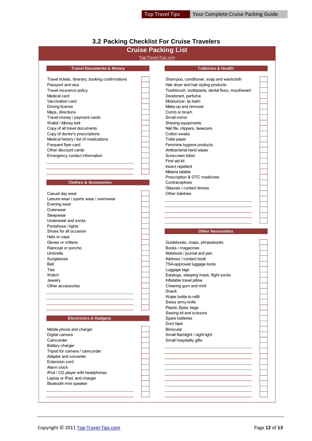# <span id="page-11-0"></span>**3.2 Packing Checklist For Cruise Travelers**

# **Cruise Packing List**

#### Top-Travel-Tips

| ו טווסט ו דאס מאווי                             |
|-------------------------------------------------|
|                                                 |
| Shampoo, conditioner, soap and washcloth        |
| Hair dryer and hair styling products            |
| Toothbrush, toothpaste, dental floss, mouthwash |
| Deodorant, perfume                              |
| Moisturizer, lip balm                           |
| Make-up and remover                             |
| Comb or brush                                   |
| Small mirror                                    |
| Shaving equipments                              |
| Nail file, clippers, tweezers                   |
| Cotton swabs                                    |
| Toilet paper                                    |
| Feminine hygiene products                       |
| Antibacterial hand wipes                        |
| Sunscreen lotion                                |
| First aid kit                                   |
| Insect repellent                                |
| Malaria tablets                                 |
|                                                 |

#### **Clothes & Accessories**

| Casual day wear                       |
|---------------------------------------|
| Leisure wear / sports wear / swimwear |
| Evening wear                          |
| Outerwear                             |
| Sleepwear                             |
| Underwear and socks                   |
| Pantyhose / tights                    |
| Shoes for all occasion                |
| Hats or caps                          |
| Gloves or mittens                     |
| Raincoat or poncho                    |
| Umbrella                              |
| Sunglasses                            |
| Belt                                  |
| Ties                                  |
| Watch                                 |
| Jewelry                               |
| Other accessories                     |
|                                       |

#### **Electronics & Gadgets**

| Mobile phone and charger         |
|----------------------------------|
| Digital camera                   |
| Camcorder                        |
| <b>Battery charger</b>           |
| Tripod for camera / camcorder    |
| Adaptor and converter            |
| <b>Extension cord</b>            |
| Alarm clock                      |
| iPod / CD player with headphones |
| Laptop or iPad, and charger      |
| Bluetooth mini speaker           |
|                                  |

|                                     | Top-Travel-Tips.com                             |
|-------------------------------------|-------------------------------------------------|
|                                     |                                                 |
| <b>Travel Documents &amp; Money</b> | <b>Toiletries &amp; Health</b>                  |
|                                     |                                                 |
| itinerary, booking confirmations    | Shampoo, conditioner, soap and washcloth        |
| visa                                | Hair dryer and hair styling products            |
| ice policy                          | Toothbrush, toothpaste, dental floss, mouthwash |
|                                     | Deodorant, perfume                              |
| ard                                 | Moisturizer, lip balm                           |
| э                                   | Make-up and remover                             |
| ns                                  | Comb or brush                                   |
| / payment cards                     | Small mirror                                    |
| v belt                              | Shaving equipments                              |
| vel documents                       | Nail file, clippers, tweezers                   |
| r's prescriptions                   | Cotton swabs                                    |
| y / list of medications             | Toilet paper                                    |
| card                                | Feminine hygiene products                       |
| it cards                            | Antibacterial hand wipes                        |
| ontact information                  | Sunscreen lotion                                |
|                                     | First aid kit                                   |
|                                     | Insect repellent                                |
|                                     | Malaria tablets                                 |
|                                     | Prescription & OTC medicines                    |
| lothes & Accessories                | Contraceptives                                  |
|                                     | Glasses / contact lenses                        |
| ear                                 | Other toiletries                                |

#### **Other Necessities**

Guidebooks, maps, phrasebooks Books / magazines Notebook / journal and pen Address / contact book TSA-approved luggage locks Luggage tags Earplugs, sleeping mask, flight socks Inflatable travel pillow Chewing gum and mint Snack Water bottle to refill Swiss army knife Plastic Ziploc bags Sewing kit and scissors<br>Spare batteries Duct tape **Binocular** Small flashlight / night light Small hospitality gifts